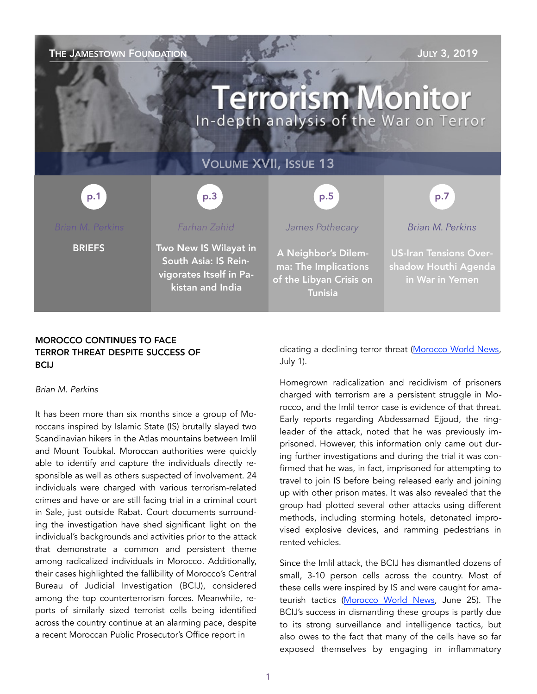| THE JAMESTOWN FOUNDATION<br><b>JULY 3, 2019</b><br><b>Terrorism Monitor</b><br>In-depth analysis of the War on Terror |                                                                                              |                                                                                          |                                                                          |
|-----------------------------------------------------------------------------------------------------------------------|----------------------------------------------------------------------------------------------|------------------------------------------------------------------------------------------|--------------------------------------------------------------------------|
| <b>VOLUME XVII, ISSUE 13</b>                                                                                          |                                                                                              |                                                                                          |                                                                          |
| p.1                                                                                                                   | p.3                                                                                          | p.5                                                                                      | p.7                                                                      |
| <b>Brian M. Perkins</b>                                                                                               | Farhan Zahid                                                                                 | James Pothecary                                                                          | <b>Brian M. Perkins</b>                                                  |
| <b>BRIEFS</b>                                                                                                         | Two New IS Wilayat in<br>South Asia: IS Rein-<br>vigorates Itself in Pa-<br>kistan and India | A Neighbor's Dilem-<br>ma: The Implications<br>of the Libyan Crisis on<br><b>Tunisia</b> | <b>US-Iran Tensions Over-</b><br>shadow Houthi Agenda<br>in War in Yemen |

## MOROCCO CONTINUES TO FACE TERROR THREAT DESPITE SUCCESS OF **BCIJ**

#### *Brian M. Perkins*

It has been more than six months since a group of Moroccans inspired by Islamic State (IS) brutally slayed two Scandinavian hikers in the Atlas mountains between Imlil and Mount Toubkal. Moroccan authorities were quickly able to identify and capture the individuals directly responsible as well as others suspected of involvement. 24 individuals were charged with various terrorism-related crimes and have or are still facing trial in a criminal court in Sale, just outside Rabat. Court documents surrounding the investigation have shed significant light on the individual's backgrounds and activities prior to the attack that demonstrate a common and persistent theme among radicalized individuals in Morocco. Additionally, their cases highlighted the fallibility of Morocco's Central Bureau of Judicial Investigation (BCIJ), considered among the top counterterrorism forces. Meanwhile, reports of similarly sized terrorist cells being identified across the country continue at an alarming pace, despite a recent Moroccan Public Prosecutor's Office report in

dicating a declining terror threat ([Morocco World News,](https://www.moroccoworldnews.com/2019/07/277105/morocco-counterterrorism-sucess/) July 1).

Homegrown radicalization and recidivism of prisoners charged with terrorism are a persistent struggle in Morocco, and the Imlil terror case is evidence of that threat. Early reports regarding Abdessamad Ejjoud, the ringleader of the attack, noted that he was previously imprisoned. However, this information only came out during further investigations and during the trial it was confirmed that he was, in fact, imprisoned for attempting to travel to join IS before being released early and joining up with other prison mates. It was also revealed that the group had plotted several other attacks using different methods, including storming hotels, detonated improvised explosive devices, and ramming pedestrians in rented vehicles.

Since the Imlil attack, the BCIJ has dismantled dozens of small, 3-10 person cells across the country. Most of these cells were inspired by IS and were caught for amateurish tactics [\(Morocco World News,](https://www.moroccoworldnews.com/2019/06/276660/moroccos-bcij-new-terror-cell-marrakech/) June 25). The BCIJ's success in dismantling these groups is partly due to its strong surveillance and intelligence tactics, but also owes to the fact that many of the cells have so far exposed themselves by engaging in inflammatory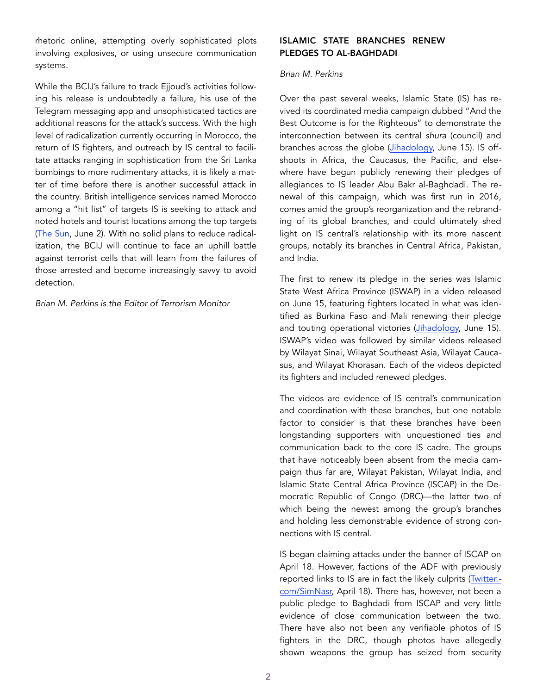rhetoric online, attempting overly sophisticated plots involving explosives, or using unsecure communication systems.

While the BCIJ's failure to track Ejjoud's activities following his release is undoubtedly a failure, his use of the Telegram messaging app and unsophisticated tactics are additional reasons for the attack's success. With the high level of radicalization currently occurring in Morocco, the return of IS fighters, and outreach by IS central to facilitate attacks ranging in sophistication from the Sri Lanka bombings to more rudimentary attacks, it is likely a matter of time before there is another successful attack in the country. British intelligence services named Morocco among a "hit list" of targets IS is seeking to attack and noted hotels and tourist locations among the top targets (The Sun, June 2). With no solid plans to reduce radicalization, the BCIJ will continue to face an uphill battle against terrorist cells that will learn from the failures of those arrested and become increasingly savvy to avoid detection.

*Brian M. Perkins is the Editor of Terrorism Monitor* 

## ISLAMIC STATE BRANCHES RENEW PLEDGES TO AL-BAGHDADI

### *Brian M. Perkins*

Over the past several weeks, Islamic State (IS) has revived its coordinated media campaign dubbed "And the Best Outcome is for the Righteous" to demonstrate the interconnection between its central *shura* (council) and branches across the globe (Jihadology, June 15). IS offshoots in Africa, the Caucasus, the Pacific, and elsewhere have begun publicly renewing their pledges of allegiances to IS leader Abu Bakr al-Baghdadi. The renewal of this campaign, which was first run in 2016, comes amid the group's reorganization and the rebranding of its global branches, and could ultimately shed light on IS central's relationship with its more nascent groups, notably its branches in Central Africa, Pakistan, and India.

The first to renew its pledge in the series was Islamic State West Africa Province (ISWAP) in a video released on June 15, featuring fighters located in what was identified as Burkina Faso and Mali renewing their pledge and touting operational victories ([Jihadology,](https://jihadology.net/2019/06/15/new-video-message-from-the-islamic-state-and-the-best-outcome-is-for-the-righteous-wilayat-gharb-ifriqi) June 15). ISWAP's video was followed by similar videos released by Wilayat Sinai, Wilayat Southeast Asia, Wilayat Caucasus, and Wilayat Khorasan. Each of the videos depicted its fighters and included renewed pledges.

The videos are evidence of IS central's communication and coordination with these branches, but one notable factor to consider is that these branches have been longstanding supporters with unquestioned ties and communication back to the core IS cadre. The groups that have noticeably been absent from the media campaign thus far are, Wilayat Pakistan, Wilayat India, and Islamic State Central Africa Province (ISCAP) in the Democratic Republic of Congo (DRC)—the latter two of which being the newest among the group's branches and holding less demonstrable evidence of strong connections with IS central.

IS began claiming attacks under the banner of ISCAP on April 18. However, factions of the ADF with previously reported links to IS are in fact the likely culprits (Twitter. com/SimNasr, April 18). There has, however, not been a public pledge to Baghdadi from ISCAP and very little evidence of close communication between the two. There have also not been any verifiable photos of IS fighters in the DRC, though photos have allegedly shown weapons the group has seized from security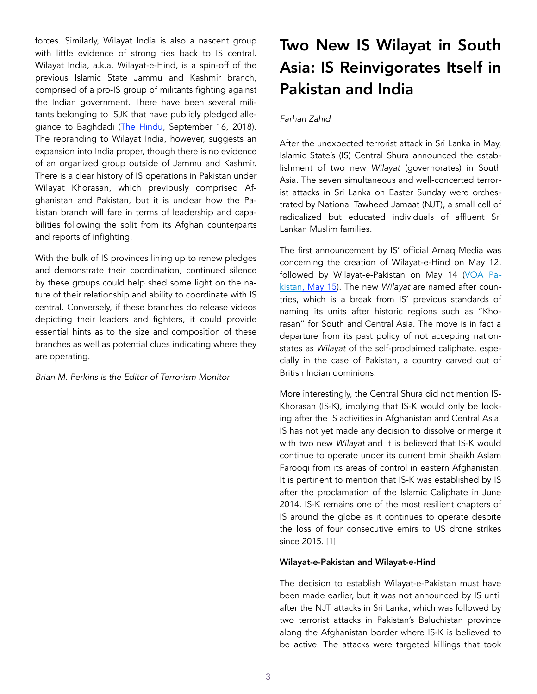forces. Similarly, Wilayat India is also a nascent group with little evidence of strong ties back to IS central. Wilayat India, a.k.a. Wilayat-e-Hind, is a spin-off of the previous Islamic State Jammu and Kashmir branch, comprised of a pro-IS group of militants fighting against the Indian government. There have been several militants belonging to ISJK that have publicly pledged alle-giance to Baghdadi ([The Hindu,](https://www.thehindu.com/news/national/other-states/belying-police-claims-islamic-state-shadow-lengthens-over-kashmir-valley/article24956847.ece) September 16, 2018). The rebranding to Wilayat India, however, suggests an expansion into India proper, though there is no evidence of an organized group outside of Jammu and Kashmir. There is a clear history of IS operations in Pakistan under Wilayat Khorasan, which previously comprised Afghanistan and Pakistan, but it is unclear how the Pakistan branch will fare in terms of leadership and capabilities following the split from its Afghan counterparts and reports of infighting.

With the bulk of IS provinces lining up to renew pledges and demonstrate their coordination, continued silence by these groups could help shed some light on the nature of their relationship and ability to coordinate with IS central. Conversely, if these branches do release videos depicting their leaders and fighters, it could provide essential hints as to the size and composition of these branches as well as potential clues indicating where they are operating.

*Brian M. Perkins is the Editor of Terrorism Monitor* 

# Two New IS Wilayat in South Asia: IS Reinvigorates Itself in Pakistan and India

## *Farhan Zahid*

After the unexpected terrorist attack in Sri Lanka in May, Islamic State's (IS) Central Shura announced the establishment of two new *Wilayat* (governorates) in South Asia. The seven simultaneous and well-concerted terrorist attacks in Sri Lanka on Easter Sunday were orchestrated by National Tawheed Jamaat (NJT), a small cell of radicalized but educated individuals of affluent Sri Lankan Muslim families.

The first announcement by IS' official Amaq Media was concerning the creation of Wilayat-e-Hind on May 12, followed by Wilayat-e-Pakistan on May 14 [\(VOA Pa](https://www.voanews.com/south-central-asia/islamic-state-announces-pakistan-province)[kistan, May 15](https://www.voanews.com/south-central-asia/islamic-state-announces-pakistan-province)). The new *Wilayat* are named after countries, which is a break from IS' previous standards of naming its units after historic regions such as "Khorasan" for South and Central Asia. The move is in fact a departure from its past policy of not accepting nationstates as *Wilayat* of the self-proclaimed caliphate, especially in the case of Pakistan, a country carved out of British Indian dominions.

More interestingly, the Central Shura did not mention IS-Khorasan (IS-K), implying that IS-K would only be looking after the IS activities in Afghanistan and Central Asia. IS has not yet made any decision to dissolve or merge it with two new *Wilayat* and it is believed that IS-K would continue to operate under its current Emir Shaikh Aslam Farooqi from its areas of control in eastern Afghanistan. It is pertinent to mention that IS-K was established by IS after the proclamation of the Islamic Caliphate in June 2014. IS-K remains one of the most resilient chapters of IS around the globe as it continues to operate despite the loss of four consecutive emirs to US drone strikes since 2015. [1]

#### Wilayat-e-Pakistan and Wilayat-e-Hind

The decision to establish Wilayat-e-Pakistan must have been made earlier, but it was not announced by IS until after the NJT attacks in Sri Lanka, which was followed by two terrorist attacks in Pakistan's Baluchistan province along the Afghanistan border where IS-K is believed to be active. The attacks were targeted killings that took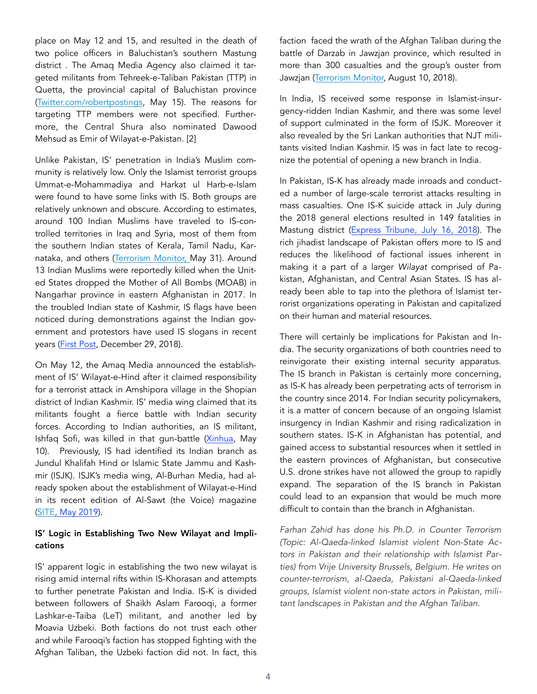place on May 12 and 15, and resulted in the death of two police officers in Baluchistan's southern Mastung district . The Amaq Media Agency also claimed it targeted militants from Tehreek-e-Taliban Pakistan (TTP) in Quetta, the provincial capital of Baluchistan province ([Twitter.com/robertpostings,](https://twitter.com/RobertPostings/status/1128701287267069952) May 15). The reasons for targeting TTP members were not specified. Furthermore, the Central Shura also nominated Dawood Mehsud as Emir of Wilayat-e-Pakistan. [2]

Unlike Pakistan, IS' penetration in India's Muslim community is relatively low. Only the Islamist terrorist groups Ummat-e-Mohammadiya and Harkat ul Harb-e-Islam were found to have some links with IS. Both groups are relatively unknown and obscure. According to estimates, around 100 Indian Muslims have traveled to IS-controlled territories in Iraq and Syria, most of them from the southern Indian states of Kerala, Tamil Nadu, Kar-nataka, and others ([Terrorism Monitor,](https://jamestown.org/program/rising-threat-of-radicalization-in-kerala-and-connections-to-sri-lanka/) May 31). Around 13 Indian Muslims were reportedly killed when the United States dropped the Mother of All Bombs (MOAB) in Nangarhar province in eastern Afghanistan in 2017. In the troubled Indian state of Kashmir, IS flags have been noticed during demonstrations against the Indian government and protestors have used IS slogans in recent years ([First Post](https://www.firstpost.com/india/islamic-state-flags-in-srinagars-jamia-reflect-disillusionment-that-is-popularising-radical-alternatives-in-jammu-and-kashmir-5810451.html), December 29, 2018).

On May 12, the Amaq Media announced the establishment of IS' Wilayat-e-Hind after it claimed responsibility for a terrorist attack in Amshipora village in the Shopian district of Indian Kashmir. IS' media wing claimed that its militants fought a fierce battle with Indian security forces. According to Indian authorities, an IS militant, Ishfaq Sofi, was killed in that gun-battle ([Xinhua](http://www.xinhuanet.com/english/2019-05/10/c_138048402.htm), May 10). Previously, IS had identified its Indian branch as Jundul Khalifah Hind or Islamic State Jammu and Kashmir (ISJK). ISJK's media wing, Al-Burhan Media, had already spoken about the establishment of Wilayat-e-Hind in its recent edition of Al-Sawt (the Voice) magazine ([SITE, May 2019\)](https://ent).

# IS' Logic in Establishing Two New Wilayat and Implications

IS' apparent logic in establishing the two new wilayat is rising amid internal rifts within IS-Khorasan and attempts to further penetrate Pakistan and India. IS-K is divided between followers of Shaikh Aslam Farooqi, a former Lashkar-e-Taiba (LeT) militant, and another led by Moavia Uzbeki. Both factions do not trust each other and while Farooqi's faction has stopped fighting with the Afghan Taliban, the Uzbeki faction did not. In fact, this

faction faced the wrath of the Afghan Taliban during the battle of Darzab in Jawzjan province, which resulted in more than 300 casualties and the group's ouster from Jawzjan [\(Terrorism Monitor,](https://jamestown.org/program/the-taliban-takes-on-islamic-state-insurgents-vie-for-control-of-northern-afghanistan/) August 10, 2018).

In India, IS received some response in Islamist-insurgency-ridden Indian Kashmir, and there was some level of support culminated in the form of ISJK. Moreover it also revealed by the Sri Lankan authorities that NJT militants visited Indian Kashmir. IS was in fact late to recognize the potential of opening a new branch in India.

In Pakistan, IS-K has already made inroads and conducted a number of large-scale terrorist attacks resulting in mass casualties. One IS-K suicide attack in July during the 2018 general elections resulted in 149 fatalities in Mastung district ([Express Tribune, July 16, 2018\)](https://tribune.com.pk/story/1758888/1-149-martyred-mastung-now-deadliest-terrorist-attack-pakistans-hi/). The rich jihadist landscape of Pakistan offers more to IS and reduces the likelihood of factional issues inherent in making it a part of a larger *Wilayat* comprised of Pakistan, Afghanistan, and Central Asian States. IS has already been able to tap into the plethora of Islamist terrorist organizations operating in Pakistan and capitalized on their human and material resources.

There will certainly be implications for Pakistan and India. The security organizations of both countries need to reinvigorate their existing internal security apparatus. The IS branch in Pakistan is certainly more concerning, as IS-K has already been perpetrating acts of terrorism in the country since 2014. For Indian security policymakers, it is a matter of concern because of an ongoing Islamist insurgency in Indian Kashmir and rising radicalization in southern states. IS-K in Afghanistan has potential, and gained access to substantial resources when it settled in the eastern provinces of Afghanistan, but consecutive U.S. drone strikes have not allowed the group to rapidly expand. The separation of the IS branch in Pakistan could lead to an expansion that would be much more difficult to contain than the branch in Afghanistan.

*Farhan Zahid has done his Ph.D. in Counter Terrorism (Topic: Al-Qaeda-linked Islamist violent Non-State Actors in Pakistan and their relationship with Islamist Parties) from Vrije University Brussels, Belgium. He writes on counter-terrorism, al-Qaeda, Pakistani al-Qaeda-linked groups, Islamist violent non-state actors in Pakistan, militant landscapes in Pakistan and the Afghan Taliban.*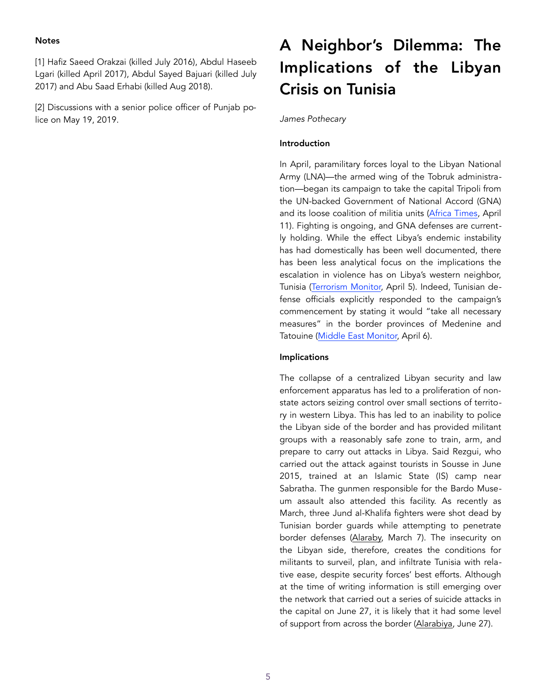### **Notes**

[1] Hafiz Saeed Orakzai (killed July 2016), Abdul Haseeb Lgari (killed April 2017), Abdul Sayed Bajuari (killed July 2017) and Abu Saad Erhabi (killed Aug 2018).

[2] Discussions with a senior police officer of Punjab police on May 19, 2019.

# A Neighbor's Dilemma: The Implications of the Libyan Crisis on Tunisia

*James Pothecary* 

## Introduction

In April, paramilitary forces loyal to the Libyan National Army (LNA)—the armed wing of the Tobruk administration—began its campaign to take the capital Tripoli from the UN-backed Government of National Accord (GNA) and its loose coalition of militia units ([Africa Times,](https://africa) April 11). Fighting is ongoing, and GNA defenses are currently holding. While the effect Libya's endemic instability has had domestically has been well documented, there has been less analytical focus on the implications the escalation in violence has on Libya's western neighbor, Tunisia ([Terrorism Monitor,](https://jamestown.org/program/the-shifting-strategic-context-in-libya-and-the-haftar-dilemma/) April 5). Indeed, Tunisian defense officials explicitly responded to the campaign's commencement by stating it would "take all necessary measures" in the border provinces of Medenine and Tatouine ([Middle East Monitor,](https://www.middleeastmonitor.com/2019) April 6).

## Implications

The collapse of a centralized Libyan security and law enforcement apparatus has led to a proliferation of nonstate actors seizing control over small sections of territory in western Libya. This has led to an inability to police the Libyan side of the border and has provided militant groups with a reasonably safe zone to train, arm, and prepare to carry out attacks in Libya. Said Rezgui, who carried out the attack against tourists in Sousse in June 2015, trained at an Islamic State (IS) camp near Sabratha. The gunmen responsible for the Bardo Museum assault also attended this facility. As recently as March, three Jund al-Khalifa fighters were shot dead by Tunisian border guards while attempting to penetrate border defenses ([Alaraby,](https://www.alaraby.co.uk/english/news/2019/3/20/tunisia-forces-kill-three-militants-suspected-of-shepherd-murders) March 7). The insecurity on the Libyan side, therefore, creates the conditions for militants to surveil, plan, and infiltrate Tunisia with relative ease, despite security forces' best efforts. Although at the time of writing information is still emerging over the network that carried out a series of suicide attacks in the capital on June 27, it is likely that it had some level of support from across the border ([Alarabiya](http://english.alarabiya.net/en/News/north-africa/2019/06/27/Attack-targets-a-polic), June 27).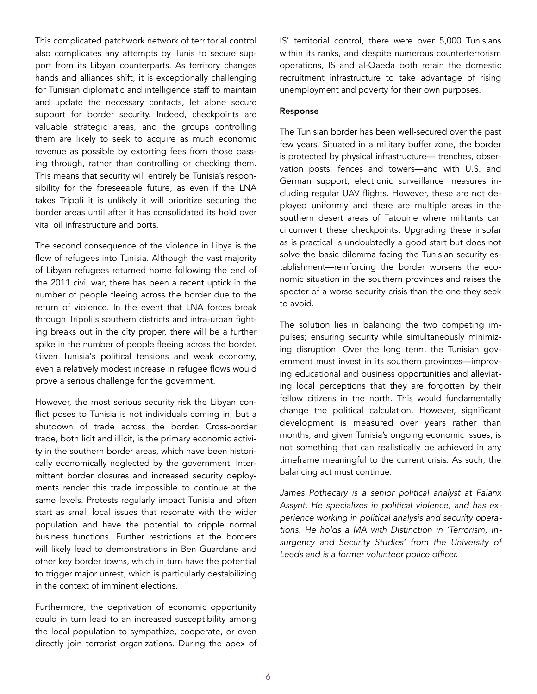This complicated patchwork network of territorial control also complicates any attempts by Tunis to secure support from its Libyan counterparts. As territory changes hands and alliances shift, it is exceptionally challenging for Tunisian diplomatic and intelligence staff to maintain and update the necessary contacts, let alone secure support for border security. Indeed, checkpoints are valuable strategic areas, and the groups controlling them are likely to seek to acquire as much economic revenue as possible by extorting fees from those passing through, rather than controlling or checking them. This means that security will entirely be Tunisia's responsibility for the foreseeable future, as even if the LNA takes Tripoli it is unlikely it will prioritize securing the border areas until after it has consolidated its hold over vital oil infrastructure and ports.

The second consequence of the violence in Libya is the flow of refugees into Tunisia. Although the vast majority of Libyan refugees returned home following the end of the 2011 civil war, there has been a recent uptick in the number of people fleeing across the border due to the return of violence. In the event that LNA forces break through Tripoli's southern districts and intra-urban fighting breaks out in the city proper, there will be a further spike in the number of people fleeing across the border. Given Tunisia's political tensions and weak economy, even a relatively modest increase in refugee flows would prove a serious challenge for the government.

However, the most serious security risk the Libyan conflict poses to Tunisia is not individuals coming in, but a shutdown of trade across the border. Cross-border trade, both licit and illicit, is the primary economic activity in the southern border areas, which have been historically economically neglected by the government. Intermittent border closures and increased security deployments render this trade impossible to continue at the same levels. Protests regularly impact Tunisia and often start as small local issues that resonate with the wider population and have the potential to cripple normal business functions. Further restrictions at the borders will likely lead to demonstrations in Ben Guardane and other key border towns, which in turn have the potential to trigger major unrest, which is particularly destabilizing in the context of imminent elections.

Furthermore, the deprivation of economic opportunity could in turn lead to an increased susceptibility among the local population to sympathize, cooperate, or even directly join terrorist organizations. During the apex of IS' territorial control, there were over 5,000 Tunisians within its ranks, and despite numerous counterterrorism operations, IS and al-Qaeda both retain the domestic recruitment infrastructure to take advantage of rising unemployment and poverty for their own purposes.

#### Response

The Tunisian border has been well-secured over the past few years. Situated in a military buffer zone, the border is protected by physical infrastructure— trenches, observation posts, fences and towers—and with U.S. and German support, electronic surveillance measures including regular UAV flights. However, these are not deployed uniformly and there are multiple areas in the southern desert areas of Tatouine where militants can circumvent these checkpoints. Upgrading these insofar as is practical is undoubtedly a good start but does not solve the basic dilemma facing the Tunisian security establishment—reinforcing the border worsens the economic situation in the southern provinces and raises the specter of a worse security crisis than the one they seek to avoid.

The solution lies in balancing the two competing impulses; ensuring security while simultaneously minimizing disruption. Over the long term, the Tunisian government must invest in its southern provinces—improving educational and business opportunities and alleviating local perceptions that they are forgotten by their fellow citizens in the north. This would fundamentally change the political calculation. However, significant development is measured over years rather than months, and given Tunisia's ongoing economic issues, is not something that can realistically be achieved in any timeframe meaningful to the current crisis. As such, the balancing act must continue.

*James Pothecary is a senior political analyst at Falanx Assynt. He specializes in political violence, and has experience working in political analysis and security operations. He holds a MA with Distinction in 'Terrorism, Insurgency and Security Studies' from the University of Leeds and is a former volunteer police officer.*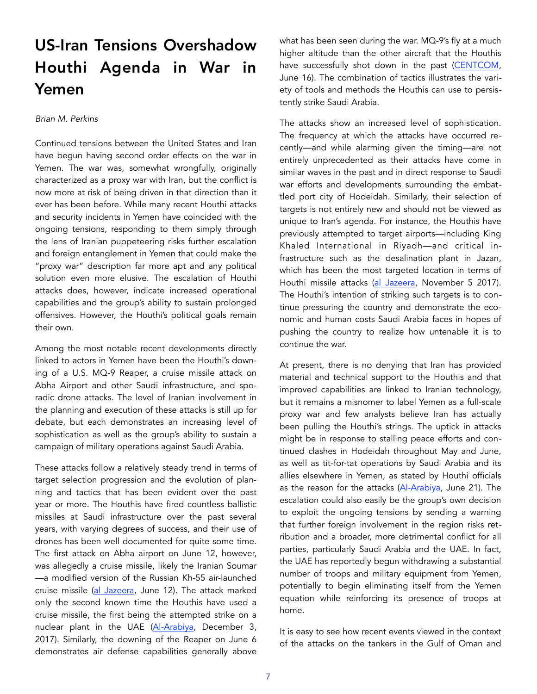# US-Iran Tensions Overshadow Houthi Agenda in War in Yemen

#### *Brian M. Perkins*

Continued tensions between the United States and Iran have begun having second order effects on the war in Yemen. The war was, somewhat wrongfully, originally characterized as a proxy war with Iran, but the conflict is now more at risk of being driven in that direction than it ever has been before. While many recent Houthi attacks and security incidents in Yemen have coincided with the ongoing tensions, responding to them simply through the lens of Iranian puppeteering risks further escalation and foreign entanglement in Yemen that could make the "proxy war" description far more apt and any political solution even more elusive. The escalation of Houthi attacks does, however, indicate increased operational capabilities and the group's ability to sustain prolonged offensives. However, the Houthi's political goals remain their own.

Among the most notable recent developments directly linked to actors in Yemen have been the Houthi's downing of a U.S. MQ-9 Reaper, a cruise missile attack on Abha Airport and other Saudi infrastructure, and sporadic drone attacks. The level of Iranian involvement in the planning and execution of these attacks is still up for debate, but each demonstrates an increasing level of sophistication as well as the group's ability to sustain a campaign of military operations against Saudi Arabia.

These attacks follow a relatively steady trend in terms of target selection progression and the evolution of planning and tactics that has been evident over the past year or more. The Houthis have fired countless ballistic missiles at Saudi infrastructure over the past several years, with varying degrees of success, and their use of drones has been well documented for quite some time. The first attack on Abha airport on June 12, however, was allegedly a cruise missile, likely the Iranian Soumar —a modified version of the Russian Kh-55 air-launched cruise missile [\(al Jazeera,](https://www.aljazeera.com/news/2019/06/houthi-missile-strike-saudi-arabia-abha-airport-wounds-26-190612090351880.html) June 12). The attack marked only the second known time the Houthis have used a cruise missile, the first being the attempted strike on a nuclear plant in the UAE [\(Al-Arabiya,](https://english.alarabiya.net/en/News/gulf/2017/12/03/All-you-need-to-know-a) December 3, 2017). Similarly, the downing of the Reaper on June 6 demonstrates air defense capabilities generally above what has been seen during the war. MQ-9's fly at a much higher altitude than the other aircraft that the Houthis have successfully shot down in the past [\(CENTCOM,](https://www.centcom.mil/MEDIA/STATEMENTS/Statements-View/Article/1877252/statement-from-us-central-command-on-attacks-against-us-observation-airc) June 16). The combination of tactics illustrates the variety of tools and methods the Houthis can use to persistently strike Saudi Arabia.

The attacks show an increased level of sophistication. The frequency at which the attacks have occurred recently—and while alarming given the timing—are not entirely unprecedented as their attacks have come in similar waves in the past and in direct response to Saudi war efforts and developments surrounding the embattled port city of Hodeidah. Similarly, their selection of targets is not entirely new and should not be viewed as unique to Iran's agenda. For instance, the Houthis have previously attempted to target airports—including King Khaled International in Riyadh—and critical infrastructure such as the desalination plant in Jazan, which has been the most targeted location in terms of Houthi missile attacks [\(al Jazeera,](https://www.aljazeera.com/news/2017/11/yemen-houthi-fire-missile-saudi-arabia-riyadh-171104180946302.html) November 5 2017). The Houthi's intention of striking such targets is to continue pressuring the country and demonstrate the economic and human costs Saudi Arabia faces in hopes of pushing the country to realize how untenable it is to continue the war.

At present, there is no denying that Iran has provided material and technical support to the Houthis and that improved capabilities are linked to Iranian technology, but it remains a misnomer to label Yemen as a full-scale proxy war and few analysts believe Iran has actually been pulling the Houthi's strings. The uptick in attacks might be in response to stalling peace efforts and continued clashes in Hodeidah throughout May and June, as well as tit-for-tat operations by Saudi Arabia and its allies elsewhere in Yemen, as stated by Houthi officials as the reason for the attacks ([Al-Arabiya,](https://english.alarabiya.net/en/News/gulf/2019/06/21/Coalition-targets-Houthi-military-targets-in-Yemen-s-Hodeidah.html) June 21). The escalation could also easily be the group's own decision to exploit the ongoing tensions by sending a warning that further foreign involvement in the region risks retribution and a broader, more detrimental conflict for all parties, particularly Saudi Arabia and the UAE. In fact, the UAE has reportedly begun withdrawing a substantial number of troops and military equipment from Yemen, potentially to begin eliminating itself from the Yemen equation while reinforcing its presence of troops at home.

It is easy to see how recent events viewed in the context of the attacks on the tankers in the Gulf of Oman and